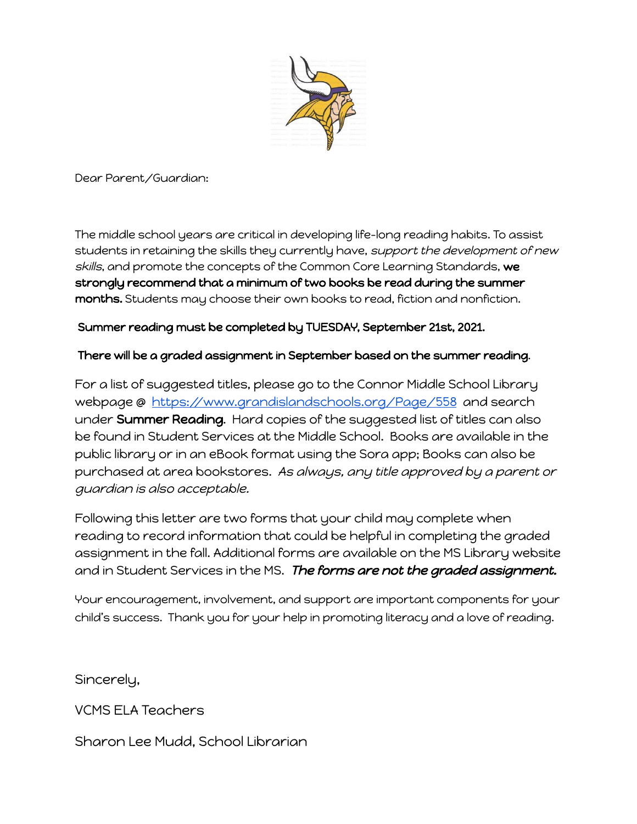

Dear Parent/Guardian:

The middle school years are critical in developing life-long reading habits. To assist students in retaining the skills they currently have, support the development of new skills, and promote the concepts of the Common Core Learning Standards, we strongly recommend that a minimum of two books be read during the summer months. Students may choose their own books to read, fiction and nonfiction.

## Summer reading must be completed by TUESDAY, September 21st, 2021.

## There will be a graded assignment in September based on the summer reading.

For a list of suggested titles, please go to the Connor Middle School Library webpage @ <https://www.grandislandschools.org/Page/558> and search under Summer Reading. Hard copies of the suggested list of titles can also be found in Student Services at the Middle School. Books are available in the public library or in an eBook format using the Sora app; Books can also be purchased at area bookstores. As always, any title approved by <sup>a</sup> parent or guardian is also acceptable.

Following this letter are two forms that your child may complete when reading to record information that could be helpful in completing the graded assignment in the fall. Additional forms are available on the MS Library website and in Student Services in the MS. The forms are not the graded assignment.

Your encouragement, involvement, and support are important components for your child's success. Thank you for your help in promoting literacy and a love of reading.

Sincerely,

VCMS ELA Teachers

Sharon Lee Mudd, School Librarian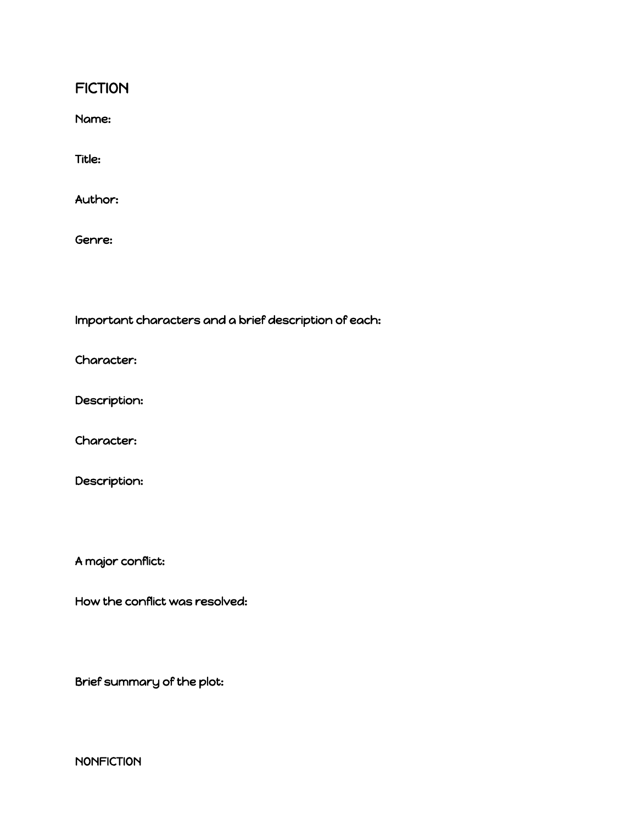## **FICTION**

Name:

Title:

Author:

Genre:

Important characters and a brief description of each:

Character:

Description:

Character:

Description:

A major conflict:

How the conflict was resolved:

Brief summary of the plot: